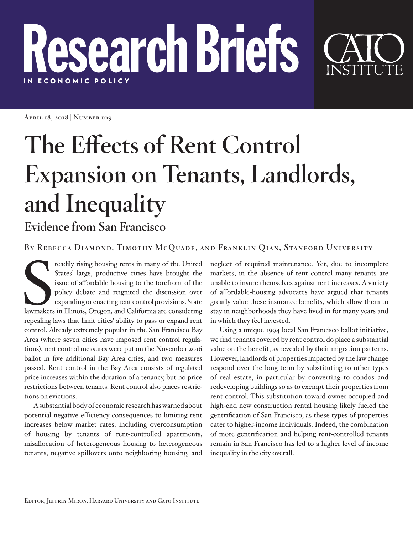## Research Briefs IN E C ONOMIC POLICY

**April 18, 2018 | Number 109**

## **The Effects of Rent Control Expansion on Tenants, Landlords, and Inequality**

## **Evidence from San Francisco**

**By Rebecca Diamond, Timothy McQuade, and Franklin Qian, Stanford University**

teadily rising housing rents in many of the United<br>States' large, productive cities have brought the<br>issue of affordable housing to the forefront of the<br>policy debate and reignited the discussion over<br>expanding or enacting teadily rising housing rents in many of the United States' large, productive cities have brought the issue of affordable housing to the forefront of the policy debate and reignited the discussion over expanding or enacting rent control provisions. State repealing laws that limit cities' ability to pass or expand rent control. Already extremely popular in the San Francisco Bay Area (where seven cities have imposed rent control regulations), rent control measures were put on the November 2016 ballot in five additional Bay Area cities, and two measures passed. Rent control in the Bay Area consists of regulated price increases within the duration of a tenancy, but no price restrictions between tenants. Rent control also places restrictions on evictions.

A substantial body of economic research has warned about potential negative efficiency consequences to limiting rent increases below market rates, including overconsumption of housing by tenants of rent-controlled apartments, misallocation of heterogeneous housing to heterogeneous tenants, negative spillovers onto neighboring housing, and

neglect of required maintenance. Yet, due to incomplete markets, in the absence of rent control many tenants are unable to insure themselves against rent increases. A variety of affordable-housing advocates have argued that tenants greatly value these insurance benefits, which allow them to stay in neighborhoods they have lived in for many years and in which they feel invested.

Using a unique 1994 local San Francisco ballot initiative, we find tenants covered by rent control do place a substantial value on the benefit, as revealed by their migration patterns. However, landlords of properties impacted by the law change respond over the long term by substituting to other types of real estate, in particular by converting to condos and redeveloping buildings so as to exempt their properties from rent control. This substitution toward owner-occupied and high-end new construction rental housing likely fueled the gentrification of San Francisco, as these types of properties cater to higher-income individuals. Indeed, the combination of more gentrification and helping rent-controlled tenants remain in San Francisco has led to a higher level of income inequality in the city overall.